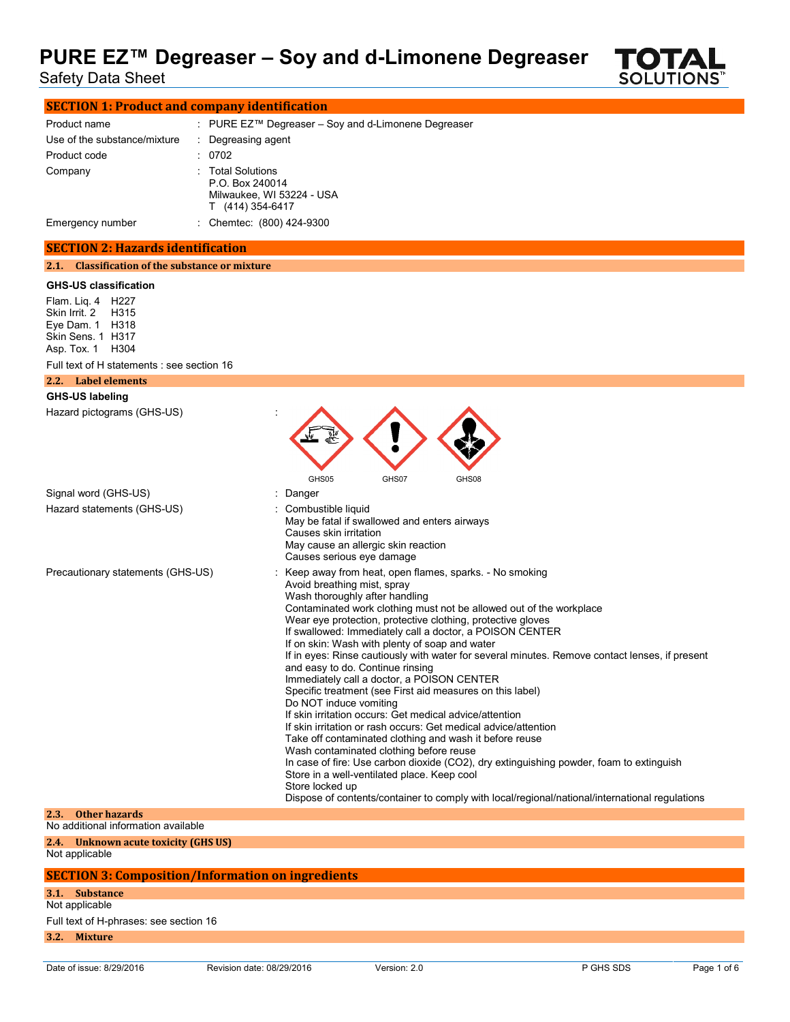Safety Data Sheet



| <b>SECTION 1: Product and company identification</b> |  |                                                                                     |
|------------------------------------------------------|--|-------------------------------------------------------------------------------------|
| Product name                                         |  | : PURE $EZ^{TM}$ Degreaser – Soy and d-Limonene Degreaser                           |
| Use of the substance/mixture                         |  | : Degreasing agent                                                                  |
| Product code                                         |  | : 0702                                                                              |
| Company                                              |  | : Total Solutions<br>P.O. Box 240014<br>Milwaukee, WI 53224 - USA<br>(414) 354-6417 |
| Emergency number                                     |  | : Chemtec: (800) 424-9300                                                           |

#### **SECTION 2: Hazards identification**

**2.1. Classification of the substance or mixture**

#### **GHS-US classification**

Flam. Liq. 4 H227 Skin Irrit. 2 H315 Eye Dam. 1 H318 Skin Sens. 1 H317 Asp. Tox. 1 H304

| ASD. IOX. 1 H3U4                                             |                                                                                                                                                                                                                                                                                                                                                                                                                                                                                                                                                                                                                                                                                                                                                                                                                                                                                                                                                                                                                                                                                                                                                           |
|--------------------------------------------------------------|-----------------------------------------------------------------------------------------------------------------------------------------------------------------------------------------------------------------------------------------------------------------------------------------------------------------------------------------------------------------------------------------------------------------------------------------------------------------------------------------------------------------------------------------------------------------------------------------------------------------------------------------------------------------------------------------------------------------------------------------------------------------------------------------------------------------------------------------------------------------------------------------------------------------------------------------------------------------------------------------------------------------------------------------------------------------------------------------------------------------------------------------------------------|
| Full text of H statements : see section 16                   |                                                                                                                                                                                                                                                                                                                                                                                                                                                                                                                                                                                                                                                                                                                                                                                                                                                                                                                                                                                                                                                                                                                                                           |
| 2.2. Label elements                                          |                                                                                                                                                                                                                                                                                                                                                                                                                                                                                                                                                                                                                                                                                                                                                                                                                                                                                                                                                                                                                                                                                                                                                           |
| <b>GHS-US labeling</b>                                       |                                                                                                                                                                                                                                                                                                                                                                                                                                                                                                                                                                                                                                                                                                                                                                                                                                                                                                                                                                                                                                                                                                                                                           |
| Hazard pictograms (GHS-US)                                   | GHS05<br>GHS07<br>GHS08                                                                                                                                                                                                                                                                                                                                                                                                                                                                                                                                                                                                                                                                                                                                                                                                                                                                                                                                                                                                                                                                                                                                   |
| Signal word (GHS-US)                                         | Danger                                                                                                                                                                                                                                                                                                                                                                                                                                                                                                                                                                                                                                                                                                                                                                                                                                                                                                                                                                                                                                                                                                                                                    |
| Hazard statements (GHS-US)                                   | Combustible liquid<br>May be fatal if swallowed and enters airways<br>Causes skin irritation<br>May cause an allergic skin reaction<br>Causes serious eye damage                                                                                                                                                                                                                                                                                                                                                                                                                                                                                                                                                                                                                                                                                                                                                                                                                                                                                                                                                                                          |
| Precautionary statements (GHS-US)                            | Keep away from heat, open flames, sparks. - No smoking<br>Avoid breathing mist, spray<br>Wash thoroughly after handling<br>Contaminated work clothing must not be allowed out of the workplace<br>Wear eye protection, protective clothing, protective gloves<br>If swallowed: Immediately call a doctor, a POISON CENTER<br>If on skin: Wash with plenty of soap and water<br>If in eyes: Rinse cautiously with water for several minutes. Remove contact lenses, if present<br>and easy to do. Continue rinsing<br>Immediately call a doctor, a POISON CENTER<br>Specific treatment (see First aid measures on this label)<br>Do NOT induce vomiting<br>If skin irritation occurs: Get medical advice/attention<br>If skin irritation or rash occurs: Get medical advice/attention<br>Take off contaminated clothing and wash it before reuse<br>Wash contaminated clothing before reuse<br>In case of fire: Use carbon dioxide (CO2), dry extinguishing powder, foam to extinguish<br>Store in a well-ventilated place. Keep cool<br>Store locked up<br>Dispose of contents/container to comply with local/regional/national/international regulations |
| Other hazards<br>2.3.<br>No additional information available |                                                                                                                                                                                                                                                                                                                                                                                                                                                                                                                                                                                                                                                                                                                                                                                                                                                                                                                                                                                                                                                                                                                                                           |
|                                                              |                                                                                                                                                                                                                                                                                                                                                                                                                                                                                                                                                                                                                                                                                                                                                                                                                                                                                                                                                                                                                                                                                                                                                           |
| <b>Unknown acute toxicity (GHS US)</b><br>2.4.               |                                                                                                                                                                                                                                                                                                                                                                                                                                                                                                                                                                                                                                                                                                                                                                                                                                                                                                                                                                                                                                                                                                                                                           |

Not applicable

### **SECTION 3: Composition/Information on ingredients**

**3.1. Substance**

Not applicable

Full text of H-phrases: see section 16

**3.2. Mixture**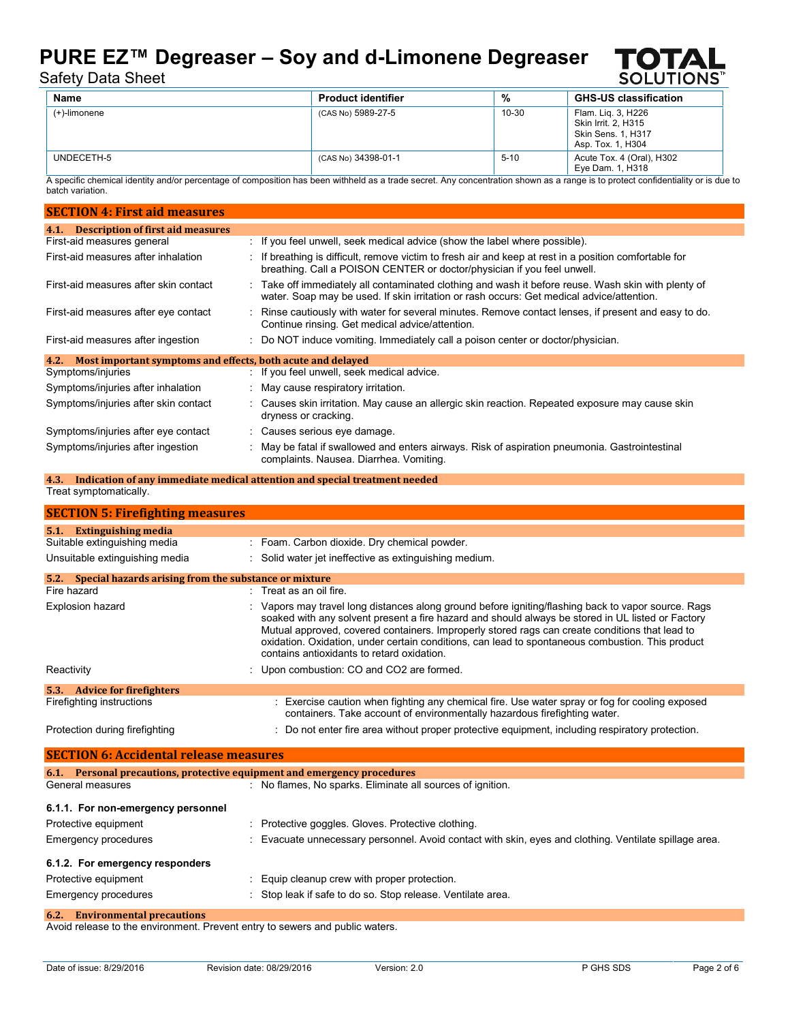

## Safety Data Sheet

| Name         | <b>Product identifier</b> | %      | <b>GHS-US classification</b>                                                         |
|--------------|---------------------------|--------|--------------------------------------------------------------------------------------|
| (+)-limonene | (CAS No) 5989-27-5        | 10-30  | Flam. Lig. 3, H226<br>Skin Irrit, 2, H315<br>Skin Sens. 1, H317<br>Asp. Tox. 1, H304 |
| UNDECETH-5   | (CAS No) 34398-01-1       | $5-10$ | Acute Tox. 4 (Oral), H302<br>Eye Dam. 1, H318                                        |

A specific chemical identity and/or percentage of composition has been withheld as a trade secret. Any concentration shown as a range is to protect confidentiality or is due to batch variation.

| <b>SECTION 4: First aid measures</b>                                |  |                                                                                                                                                                                                |  |
|---------------------------------------------------------------------|--|------------------------------------------------------------------------------------------------------------------------------------------------------------------------------------------------|--|
| <b>Description of first aid measures</b><br>4.1.                    |  |                                                                                                                                                                                                |  |
| First-aid measures general                                          |  | : If you feel unwell, seek medical advice (show the label where possible).                                                                                                                     |  |
| First-aid measures after inhalation                                 |  | : If breathing is difficult, remove victim to fresh air and keep at rest in a position comfortable for<br>breathing. Call a POISON CENTER or doctor/physician if you feel unwell.              |  |
| First-aid measures after skin contact                               |  | Take off immediately all contaminated clothing and wash it before reuse. Wash skin with plenty of<br>water. Soap may be used. If skin irritation or rash occurs: Get medical advice/attention. |  |
| First-aid measures after eye contact                                |  | Rinse cautiously with water for several minutes. Remove contact lenses, if present and easy to do.<br>Continue rinsing. Get medical advice/attention.                                          |  |
| First-aid measures after ingestion                                  |  | : Do NOT induce vomiting. Immediately call a poison center or doctor/physician.                                                                                                                |  |
| Most important symptoms and effects, both acute and delayed<br>4.2. |  |                                                                                                                                                                                                |  |
| Symptoms/injuries                                                   |  | : If you feel unwell, seek medical advice.                                                                                                                                                     |  |
| Symptoms/injuries after inhalation                                  |  | : May cause respiratory irritation.                                                                                                                                                            |  |
| Symptoms/injuries after skin contact                                |  | : Causes skin irritation. May cause an allergic skin reaction. Repeated exposure may cause skin<br>dryness or cracking.                                                                        |  |
| Symptoms/injuries after eye contact                                 |  | : Causes serious eye damage.                                                                                                                                                                   |  |
| Symptoms/injuries after ingestion                                   |  | May be fatal if swallowed and enters airways. Risk of aspiration pneumonia. Gastrointestinal<br>complaints. Nausea. Diarrhea. Vomiting.                                                        |  |

#### **4.3. Indication of any immediate medical attention and special treatment needed** Treat symptomatically.

| <b>SECTION 5: Firefighting measures</b>                       |                                                                                                                                                                                                                                                                                                                                                                                                                                                              |  |  |
|---------------------------------------------------------------|--------------------------------------------------------------------------------------------------------------------------------------------------------------------------------------------------------------------------------------------------------------------------------------------------------------------------------------------------------------------------------------------------------------------------------------------------------------|--|--|
| <b>Extinguishing media</b><br>5.1.                            |                                                                                                                                                                                                                                                                                                                                                                                                                                                              |  |  |
| Suitable extinguishing media                                  | : Foam. Carbon dioxide. Dry chemical powder.                                                                                                                                                                                                                                                                                                                                                                                                                 |  |  |
| Unsuitable extinguishing media                                | : Solid water jet ineffective as extinguishing medium.                                                                                                                                                                                                                                                                                                                                                                                                       |  |  |
| Special hazards arising from the substance or mixture<br>5.2. |                                                                                                                                                                                                                                                                                                                                                                                                                                                              |  |  |
| Fire hazard                                                   | $\therefore$ Treat as an oil fire.                                                                                                                                                                                                                                                                                                                                                                                                                           |  |  |
| Explosion hazard                                              | : Vapors may travel long distances along ground before igniting/flashing back to vapor source. Rags<br>soaked with any solvent present a fire hazard and should always be stored in UL listed or Factory<br>Mutual approved, covered containers. Improperly stored rags can create conditions that lead to<br>oxidation. Oxidation, under certain conditions, can lead to spontaneous combustion. This product<br>contains antioxidants to retard oxidation. |  |  |
| Reactivity                                                    | Upon combustion: CO and CO2 are formed.                                                                                                                                                                                                                                                                                                                                                                                                                      |  |  |
| 5.3. Advice for fire fighters                                 |                                                                                                                                                                                                                                                                                                                                                                                                                                                              |  |  |
| Firefighting instructions                                     | : Exercise caution when fighting any chemical fire. Use water spray or fog for cooling exposed<br>containers. Take account of environmentally hazardous firefighting water.                                                                                                                                                                                                                                                                                  |  |  |
| Protection during firefighting                                | : Do not enter fire area without proper protective equipment, including respiratory protection.                                                                                                                                                                                                                                                                                                                                                              |  |  |

**SECTION 6: Accidental release measures 6.1. Personal precautions, protective equipment and emergency procedures** General measures **in the state of the Section 1 Separate Section** : No flames, No sparks. Eliminate all sources of ignition. **6.1.1. For non-emergency personnel** Protective equipment : Protective goggles. Gloves. Protective clothing. Emergency procedures : Evacuate unnecessary personnel. Avoid contact with skin, eyes and clothing. Ventilate spillage area. **6.1.2. For emergency responders** Protective equipment : Equip cleanup crew with proper protection. Emergency procedures : Stop leak if safe to do so. Stop release. Ventilate area. **6.2. Environmental precautions**

Avoid release to the environment. Prevent entry to sewers and public waters.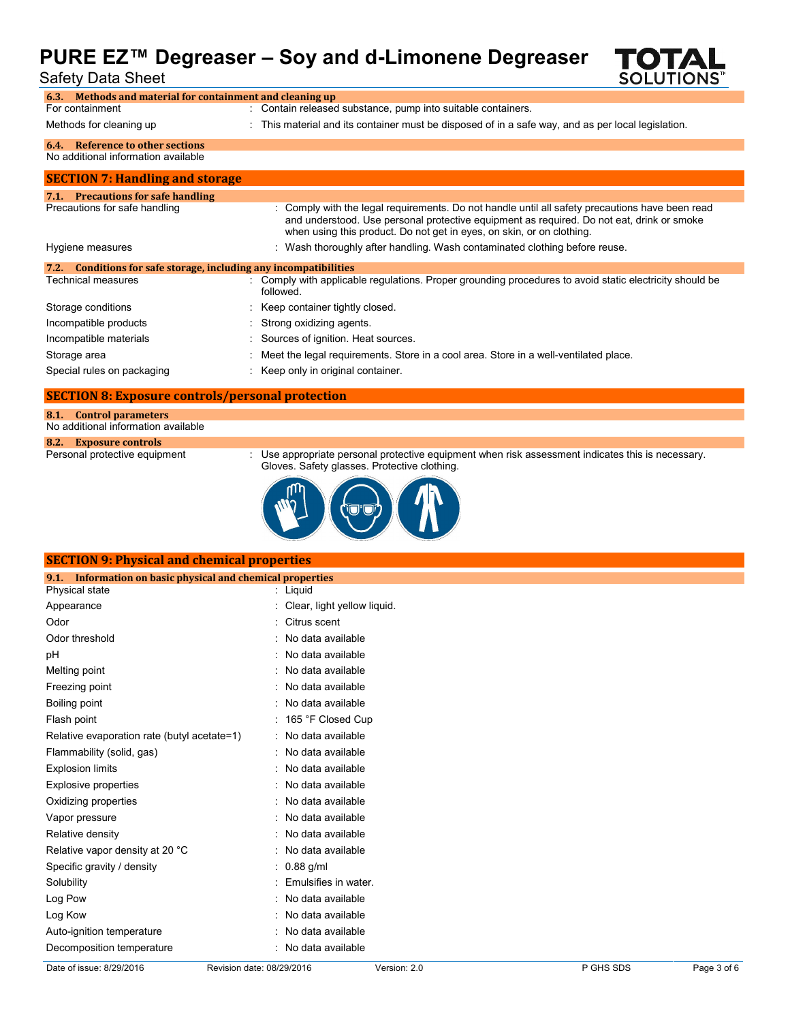## **PURE EZ™ Degreaser – Soy and d-Limonene Degreaser** Safety Data Sheet



| Methods and material for containment and cleaning up<br>6.3.         |                                                                                                                                                                                                                                                                       |
|----------------------------------------------------------------------|-----------------------------------------------------------------------------------------------------------------------------------------------------------------------------------------------------------------------------------------------------------------------|
| For containment                                                      | : Contain released substance, pump into suitable containers.                                                                                                                                                                                                          |
| Methods for cleaning up                                              | : This material and its container must be disposed of in a safe way, and as per local legislation.                                                                                                                                                                    |
| Reference to other sections<br>6.4.                                  |                                                                                                                                                                                                                                                                       |
| No additional information available                                  |                                                                                                                                                                                                                                                                       |
| <b>SECTION 7: Handling and storage</b>                               |                                                                                                                                                                                                                                                                       |
| 7.1. Precautions for safe handling                                   |                                                                                                                                                                                                                                                                       |
| Precautions for safe handling                                        | : Comply with the legal requirements. Do not handle until all safety precautions have been read<br>and understood. Use personal protective equipment as required. Do not eat, drink or smoke<br>when using this product. Do not get in eyes, on skin, or on clothing. |
| Hygiene measures                                                     | : Wash thoroughly after handling. Wash contaminated clothing before reuse.                                                                                                                                                                                            |
| Conditions for safe storage, including any incompatibilities<br>7.2. |                                                                                                                                                                                                                                                                       |
| Technical measures                                                   | Comply with applicable regulations. Proper grounding procedures to avoid static electricity should be<br>followed.                                                                                                                                                    |
| Storage conditions                                                   | : Keep container tightly closed.                                                                                                                                                                                                                                      |
| Incompatible products                                                | : Strong oxidizing agents.                                                                                                                                                                                                                                            |
| Incompatible materials                                               | Sources of ignition. Heat sources.                                                                                                                                                                                                                                    |
| Storage area                                                         | Meet the legal requirements. Store in a cool area. Store in a well-ventilated place.                                                                                                                                                                                  |
| Special rules on packaging                                           | Keep only in original container.                                                                                                                                                                                                                                      |

#### **SECTION 8: Exposure controls/personal protection**

|  | 8.1. Control parameters             |
|--|-------------------------------------|
|  | No additional information available |

## 8.2. **Exposure controls**<br>Personal protective equipment

: Use appropriate personal protective equipment when risk assessment indicates this is necessary. Gloves. Safety glasses. Protective clothing.



| <b>SECTION 9: Physical and chemical properties</b>            |                               |  |
|---------------------------------------------------------------|-------------------------------|--|
| Information on basic physical and chemical properties<br>9.1. |                               |  |
| Physical state                                                | : Liquid                      |  |
| Appearance                                                    | : Clear, light yellow liquid. |  |
| Odor                                                          | : Citrus scent                |  |
| Odor threshold                                                | : No data available           |  |
| рH                                                            | : No data available           |  |
| Melting point                                                 | : No data available           |  |
| Freezing point                                                | : No data available           |  |
| Boiling point                                                 | : No data available           |  |
| Flash point                                                   | : 165 °F Closed Cup           |  |
| Relative evaporation rate (butyl acetate=1)                   | : No data available           |  |
| Flammability (solid, gas)                                     | : No data available           |  |
| <b>Explosion limits</b>                                       | : No data available           |  |
| <b>Explosive properties</b>                                   | : No data available           |  |
| Oxidizing properties                                          | : No data available           |  |
| Vapor pressure                                                | : No data available           |  |
| Relative density                                              | : No data available           |  |
| Relative vapor density at 20 °C                               | : No data available           |  |
| Specific gravity / density                                    | $: 0.88$ g/ml                 |  |
| Solubility                                                    | Emulsifies in water.          |  |
| Log Pow                                                       | : No data available           |  |
| Log Kow                                                       | : No data available           |  |
| Auto-ignition temperature                                     | No data available             |  |
| Decomposition temperature                                     | No data available             |  |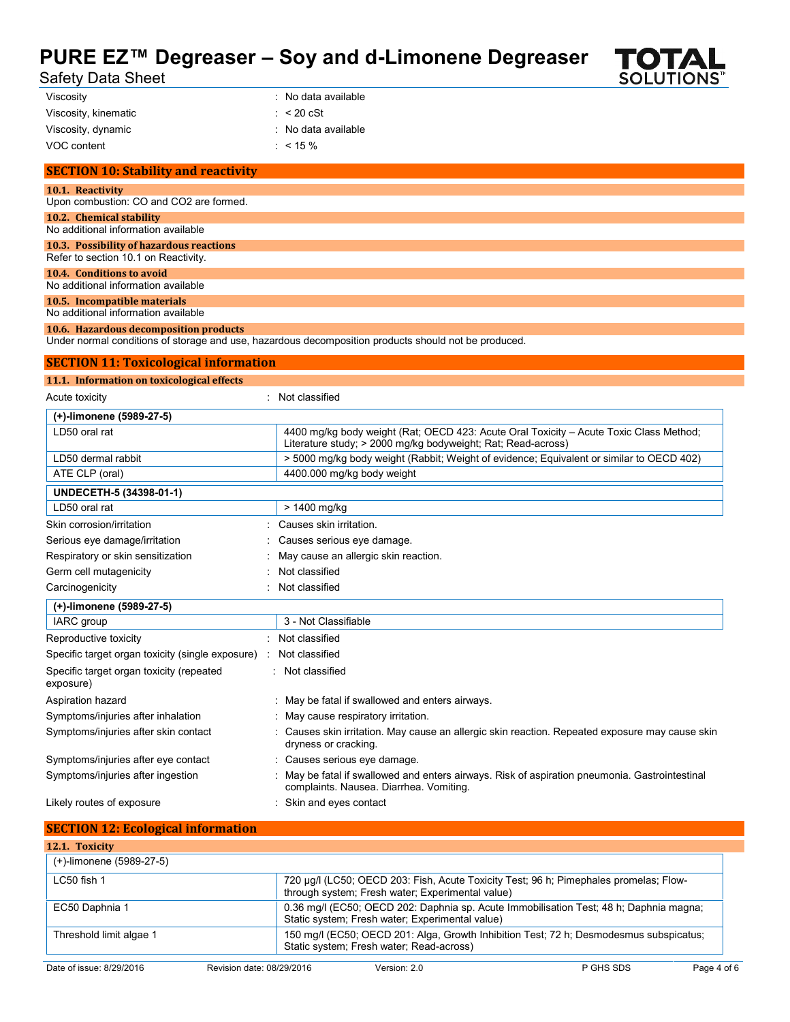# **PURE EZ™ Degreaser – Soy and d-Limonene Degreaser**<br>Safety Data Sheet



|  |  | Safety Data Sheet |  |
|--|--|-------------------|--|
|--|--|-------------------|--|

| Viscosity            | : No data available   |
|----------------------|-----------------------|
| Viscosity, kinematic | $\therefore$ < 20 cSt |
| Viscosity, dynamic   | : No data available   |
| VOC content          | : $< 15 \%$           |

| <b>SECTION 10: Stability and reactivity</b>                                      |
|----------------------------------------------------------------------------------|
| 10.1. Reactivity<br>Upon combustion: CO and CO2 are formed.                      |
| 10.2. Chemical stability<br>No additional information available                  |
| 10.3. Possibility of hazardous reactions<br>Refer to section 10.1 on Reactivity. |
| 10.4. Conditions to avoid<br>No additional information available                 |
| 10.5. Incompatible materials<br>No additional information available              |

#### **10.6. Hazardous decomposition products**

Under normal conditions of storage and use, hazardous decomposition products should not be produced.

| <b>SECTION 11: Toxicological information</b>          |                                                                                                                                                        |
|-------------------------------------------------------|--------------------------------------------------------------------------------------------------------------------------------------------------------|
| 11.1. Information on toxicological effects            |                                                                                                                                                        |
| Acute toxicity                                        | Not classified                                                                                                                                         |
| (+)-limonene (5989-27-5)                              |                                                                                                                                                        |
| LD50 oral rat                                         | 4400 mg/kg body weight (Rat: OECD 423: Acute Oral Toxicity - Acute Toxic Class Method:<br>Literature study; > 2000 mg/kg bodyweight; Rat; Read-across) |
| LD50 dermal rabbit                                    | > 5000 mg/kg body weight (Rabbit; Weight of evidence; Equivalent or similar to OECD 402)                                                               |
| ATE CLP (oral)                                        | 4400.000 mg/kg body weight                                                                                                                             |
| UNDECETH-5 (34398-01-1)                               |                                                                                                                                                        |
| LD50 oral rat                                         | > 1400 mg/kg                                                                                                                                           |
| Skin corrosion/irritation                             | Causes skin irritation.                                                                                                                                |
| Serious eye damage/irritation                         | Causes serious eye damage.                                                                                                                             |
| Respiratory or skin sensitization                     | May cause an allergic skin reaction.                                                                                                                   |
| Germ cell mutagenicity                                | Not classified                                                                                                                                         |
| Carcinogenicity                                       | Not classified                                                                                                                                         |
| (+)-limonene (5989-27-5)                              |                                                                                                                                                        |
| IARC group                                            | 3 - Not Classifiable                                                                                                                                   |
| Reproductive toxicity                                 | Not classified                                                                                                                                         |
| Specific target organ toxicity (single exposure)      | Not classified                                                                                                                                         |
| Specific target organ toxicity (repeated<br>exposure) | Not classified                                                                                                                                         |
| Aspiration hazard                                     | : May be fatal if swallowed and enters airways.                                                                                                        |
| Symptoms/injuries after inhalation                    | : May cause respiratory irritation.                                                                                                                    |
| Symptoms/injuries after skin contact                  | : Causes skin irritation. May cause an allergic skin reaction. Repeated exposure may cause skin<br>dryness or cracking.                                |
| Symptoms/injuries after eye contact                   | : Causes serious eye damage.                                                                                                                           |
| Symptoms/injuries after ingestion                     | May be fatal if swallowed and enters airways. Risk of aspiration pneumonia. Gastrointestinal<br>complaints. Nausea. Diarrhea. Vomiting.                |
| Likely routes of exposure                             | : Skin and eyes contact                                                                                                                                |

| <b>SECTION 12: Ecological information</b> |                                                                                                                                    |                                                  |                                                                                        |             |
|-------------------------------------------|------------------------------------------------------------------------------------------------------------------------------------|--------------------------------------------------|----------------------------------------------------------------------------------------|-------------|
| 12.1. Toxicity                            |                                                                                                                                    |                                                  |                                                                                        |             |
| (+)-limonene (5989-27-5)                  |                                                                                                                                    |                                                  |                                                                                        |             |
| LC50 fish 1                               |                                                                                                                                    | through system; Fresh water; Experimental value) | 720 µg/l (LC50; OECD 203: Fish, Acute Toxicity Test; 96 h; Pimephales promelas; Flow-  |             |
| EC50 Daphnia 1                            |                                                                                                                                    | Static system; Fresh water; Experimental value)  | 0.36 mg/l (EC50; OECD 202: Daphnia sp. Acute Immobilisation Test; 48 h; Daphnia magna; |             |
| Threshold limit algae 1                   | 150 mg/l (EC50; OECD 201: Alga, Growth Inhibition Test; 72 h; Desmodesmus subspicatus;<br>Static system; Fresh water; Read-across) |                                                  |                                                                                        |             |
| Date of issue: 8/29/2016                  | Revision date: 08/29/2016                                                                                                          | Version: 2.0                                     | P GHS SDS                                                                              | Page 4 of 6 |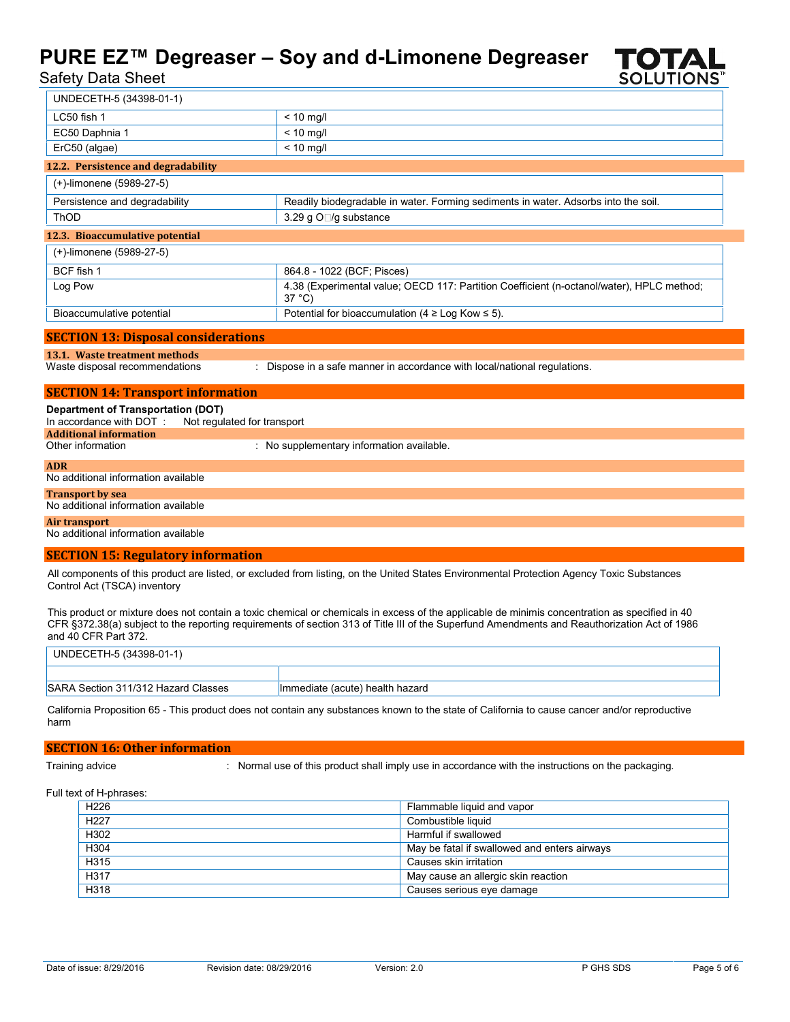



| $rac{1}{2}$                                                                                           |                                                                                                                                            |
|-------------------------------------------------------------------------------------------------------|--------------------------------------------------------------------------------------------------------------------------------------------|
| UNDECETH-5 (34398-01-1)                                                                               |                                                                                                                                            |
| LC50 fish 1                                                                                           | $< 10$ mg/l                                                                                                                                |
| EC50 Daphnia 1                                                                                        | $< 10$ mg/l                                                                                                                                |
| ErC50 (algae)                                                                                         | $< 10$ mg/l                                                                                                                                |
| 12.2. Persistence and degradability                                                                   |                                                                                                                                            |
| (+)-limonene (5989-27-5)                                                                              |                                                                                                                                            |
| Persistence and degradability                                                                         | Readily biodegradable in water. Forming sediments in water. Adsorbs into the soil.                                                         |
| ThOD                                                                                                  | 3.29 g O□/g substance                                                                                                                      |
| 12.3. Bioaccumulative potential                                                                       |                                                                                                                                            |
| (+)-limonene (5989-27-5)                                                                              |                                                                                                                                            |
| BCF fish 1                                                                                            | 864.8 - 1022 (BCF; Pisces)                                                                                                                 |
| Log Pow                                                                                               | 4.38 (Experimental value; OECD 117: Partition Coefficient (n-octanol/water), HPLC method;<br>$37^{\circ}$ C)                               |
| Bioaccumulative potential                                                                             | Potential for bioaccumulation (4 $\geq$ Log Kow $\leq$ 5).                                                                                 |
| <b>SECTION 13: Disposal considerations</b>                                                            |                                                                                                                                            |
| 13.1. Waste treatment methods                                                                         |                                                                                                                                            |
| Waste disposal recommendations                                                                        | : Dispose in a safe manner in accordance with local/national regulations.                                                                  |
| <b>SECTION 14: Transport information</b>                                                              |                                                                                                                                            |
| <b>Department of Transportation (DOT)</b><br>In accordance with DOT:<br><b>Additional information</b> | Not regulated for transport                                                                                                                |
| Other information                                                                                     | : No supplementary information available.                                                                                                  |
| <b>ADR</b><br>No additional information available                                                     |                                                                                                                                            |
| <b>Transport by sea</b><br>No additional information available                                        |                                                                                                                                            |
| Air transport<br>No additional information available                                                  |                                                                                                                                            |
| <b>SECTION 15: Regulatory information</b>                                                             |                                                                                                                                            |
| Control Act (TSCA) inventory                                                                          | All components of this product are listed, or excluded from listing, on the United States Environmental Protection Agency Toxic Substances |

This product or mixture does not contain a toxic chemical or chemicals in excess of the applicable de minimis concentration as specified in 40 CFR §372.38(a) subject to the reporting requirements of section 313 of Title III of the Superfund Amendments and Reauthorization Act of 1986 and 40 CFR Part 372.

| UNDECETH-5 (34398-01-1)             |                                 |
|-------------------------------------|---------------------------------|
|                                     |                                 |
| SARA Section 311/312 Hazard Classes | Immediate (acute) health hazard |

California Proposition 65 - This product does not contain any substances known to the state of California to cause cancer and/or reproductive harm

#### **SECTION 16: Other information**

Training advice : Normal use of this product shall imply use in accordance with the instructions on the packaging.

Full text of H-phrases:

| H <sub>226</sub> | Flammable liquid and vapor                   |
|------------------|----------------------------------------------|
| H <sub>227</sub> | Combustible liquid                           |
| H302             | Harmful if swallowed                         |
| H304             | May be fatal if swallowed and enters airways |
| H315             | Causes skin irritation                       |
| H317             | May cause an allergic skin reaction          |
| H318             | Causes serious eye damage                    |